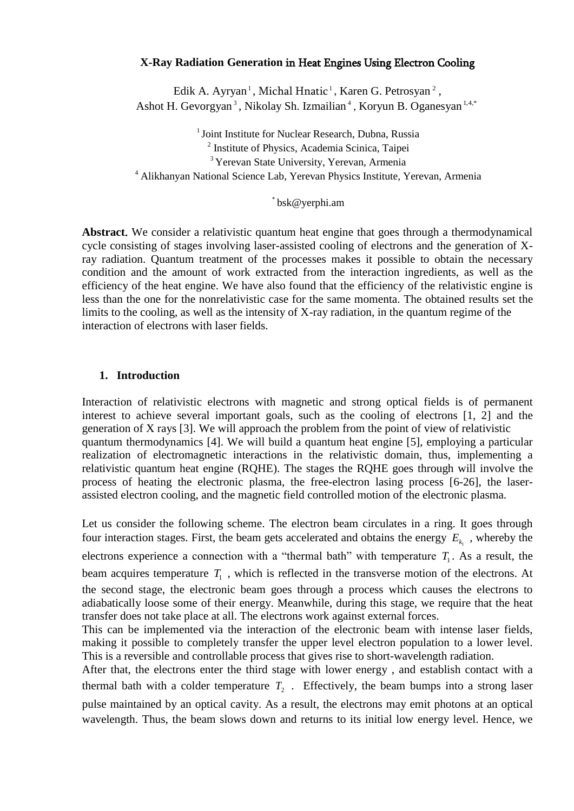# **X-Ray Radiation Generation** in Heat Engines Using Electron Cooling

Edik A. Ayryan<sup>1</sup>, Michal Hnatic<sup>1</sup>, Karen G. Petrosyan<sup>2</sup>, Ashot H. Gevorgyan<sup>3</sup>, Nikolay Sh. Izmailian<sup>4</sup>, Koryun B. Oganesyan<sup>1,4,\*</sup>

<sup>1</sup> Joint Institute for Nuclear Research, Dubna, Russia 2 Institute of Physics, Academia Scinica, Taipei <sup>3</sup> Yerevan State University, Yerevan, Armenia 4 Alikhanyan National Science Lab, Yerevan Physics Institute, Yerevan, Armenia

### \* bsk@yerphi.am

**Abstract**. We consider a relativistic quantum heat engine that goes through a thermodynamical cycle consisting of stages involving laser-assisted cooling of electrons and the generation of Xray radiation. Quantum treatment of the processes makes it possible to obtain the necessary condition and the amount of work extracted from the interaction ingredients, as well as the efficiency of the heat engine. We have also found that the efficiency of the relativistic engine is less than the one for the nonrelativistic case for the same momenta. The obtained results set the limits to the cooling, as well as the intensity of X-ray radiation, in the quantum regime of the interaction of electrons with laser fields.

### **1. Introduction**

Interaction of relativistic electrons with magnetic and strong optical fields is of permanent interest to achieve several important goals, such as the cooling of electrons [1, 2] and the generation of X rays [3]. We will approach the problem from the point of view of relativistic quantum thermodynamics [4]. We will build a quantum heat engine [5], employing a particular realization of electromagnetic interactions in the relativistic domain, thus, implementing a relativistic quantum heat engine (RQHE). The stages the RQHE goes through will involve the process of heating the electronic plasma, the free-electron lasing process [6-26], the laserassisted electron cooling, and the magnetic field controlled motion of the electronic plasma.

Let us consider the following scheme. The electron beam circulates in a ring. It goes through four interaction stages. First, the beam gets accelerated and obtains the energy  $E_{k_1}$ , whereby the electrons experience a connection with a "thermal bath" with temperature  $T_1$ . As a result, the beam acquires temperature  $T_1$ , which is reflected in the transverse motion of the electrons. At the second stage, the electronic beam goes through a process which causes the electrons to adiabatically loose some of their energy. Meanwhile, during this stage, we require that the heat transfer does not take place at all. The electrons work against external forces.

This can be implemented via the interaction of the electronic beam with intense laser fields, making it possible to completely transfer the upper level electron population to a lower level. This is a reversible and controllable process that gives rise to short-wavelength radiation.

After that, the electrons enter the third stage with lower energy , and establish contact with a thermal bath with a colder temperature  $T_2$ . Effectively, the beam bumps into a strong laser pulse maintained by an optical cavity. As a result, the electrons may emit photons at an optical wavelength. Thus, the beam slows down and returns to its initial low energy level. Hence, we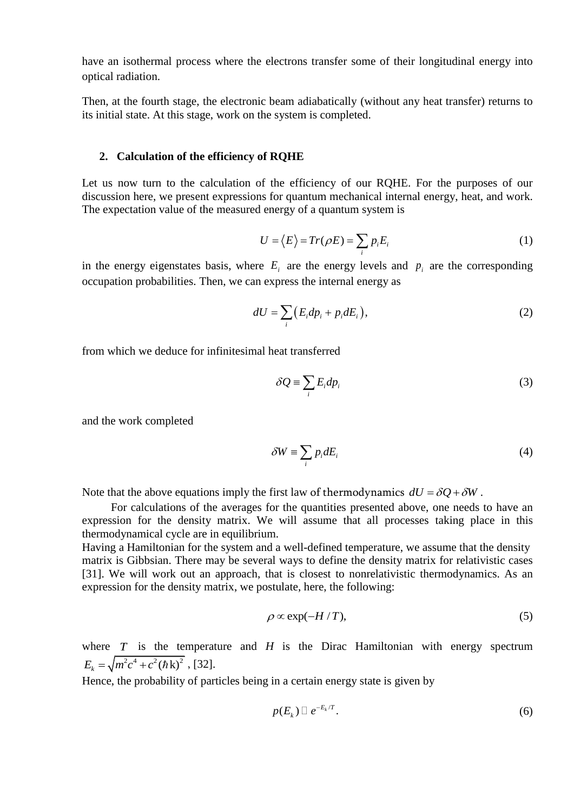have an isothermal process where the electrons transfer some of their longitudinal energy into optical radiation.

Then, at the fourth stage, the electronic beam adiabatically (without any heat transfer) returns to its initial state. At this stage, work on the system is completed.

#### **2. Calculation of the efficiency of RQHE**

Let us now turn to the calculation of the efficiency of our RQHE. For the purposes of our discussion here, we present expressions for quantum mechanical internal energy, heat, and work. The expectation value of the measured energy of a quantum system is

$$
U = \langle E \rangle = Tr(\rho E) = \sum_{i} p_{i} E_{i}
$$
 (1)

in the energy eigenstates basis, where  $E_i$  are the energy levels and  $p_i$  are the corresponding occupation probabilities. Then, we can express the internal energy as

$$
dU = \sum_{i} \left( E_i dp_i + p_i dE_i \right), \tag{2}
$$

from which we deduce for infinitesimal heat transferred

$$
\delta Q \equiv \sum_{i} E_{i} dp_{i} \tag{3}
$$

and the work completed

$$
\delta W \equiv \sum_{i} p_i dE_i \tag{4}
$$

Note that the above equations imply the first law of thermodynamics  $dU = \delta Q + \delta W$ .

 For calculations of the averages for the quantities presented above, one needs to have an expression for the density matrix. We will assume that all processes taking place in this thermodynamical cycle are in equilibrium.

Having a Hamiltonian for the system and a well-defined temperature, we assume that the density matrix is Gibbsian. There may be several ways to define the density matrix for relativistic cases [31]. We will work out an approach, that is closest to nonrelativistic thermodynamics. As an expression for the density matrix, we postulate, here, the following:

$$
\rho \propto \exp(-H/T),\tag{5}
$$

where  $T$  is the temperature and  $H$  is the Dirac Hamiltonian with energy spectrum  $E_k = \sqrt{m^2 c^4 + c^2 (\hbar k)^2}$ , [32].

Hence, the probability of particles being in a certain energy state is given by

$$
p(E_k) \Box \, e^{-E_k/T}.\tag{6}
$$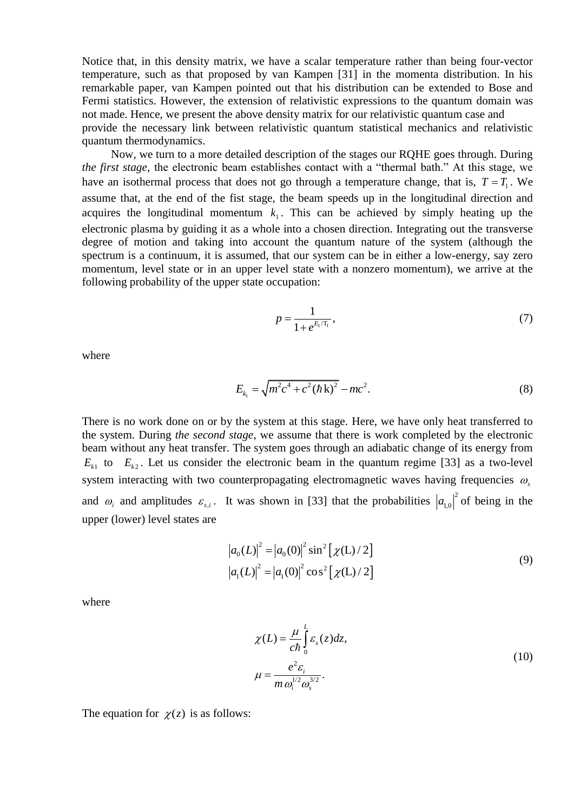Notice that, in this density matrix, we have a scalar temperature rather than being four-vector temperature, such as that proposed by van Kampen [31] in the momenta distribution. In his remarkable paper, van Kampen pointed out that his distribution can be extended to Bose and Fermi statistics. However, the extension of relativistic expressions to the quantum domain was not made. Hence, we present the above density matrix for our relativistic quantum case and provide the necessary link between relativistic quantum statistical mechanics and relativistic quantum thermodynamics.

 Now, we turn to a more detailed description of the stages our RQHE goes through. During *the first stage*, the electronic beam establishes contact with a "thermal bath." At this stage, we have an isothermal process that does not go through a temperature change, that is,  $T = T_1$ . We assume that, at the end of the fist stage, the beam speeds up in the longitudinal direction and acquires the longitudinal momentum  $k_1$ . This can be achieved by simply heating up the electronic plasma by guiding it as a whole into a chosen direction. Integrating out the transverse degree of motion and taking into account the quantum nature of the system (although the spectrum is a continuum, it is assumed, that our system can be in either a low-energy, say zero momentum, level state or in an upper level state with a nonzero momentum), we arrive at the following probability of the upper state occupation:

$$
p = \frac{1}{1 + e^{E_1/T_1}},\tag{7}
$$

where

$$
E_{k_1} = \sqrt{m^2 c^4 + c^2 (\hbar k)^2} - mc^2.
$$
 (8)

There is no work done on or by the system at this stage. Here, we have only heat transferred to the system. During *the second stage*, we assume that there is work completed by the electronic beam without any heat transfer. The system goes through an adiabatic change of its energy from  $E_{k_1}$  to  $E_{k_2}$ . Let us consider the electronic beam in the quantum regime [33] as a two-level system interacting with two counterpropagating electromagnetic waves having frequencies  $\omega$ <sub>s</sub> and  $\omega_i$  and amplitudes  $\varepsilon_{s,i}$ . It was shown in [33] that the probabilities  $|a_{1,0}|^2$  of being in the upper (lower) level states are

$$
|a_0(L)|^2 = |a_0(0)|^2 \sin^2 [\chi(L)/2]
$$
  

$$
|a_1(L)|^2 = |a_1(0)|^2 \cos^2 [\chi(L)/2]
$$
 (9)

where

$$
\chi(L) = \frac{\mu}{c\hbar} \int_{0}^{L} \varepsilon_{s}(z) dz,
$$
  

$$
\mu = \frac{e^{2} \varepsilon_{i}}{m \omega_{i}^{1/2} \omega_{s}^{3/2}}.
$$
\n(10)

The equation for  $\chi(z)$  is as follows: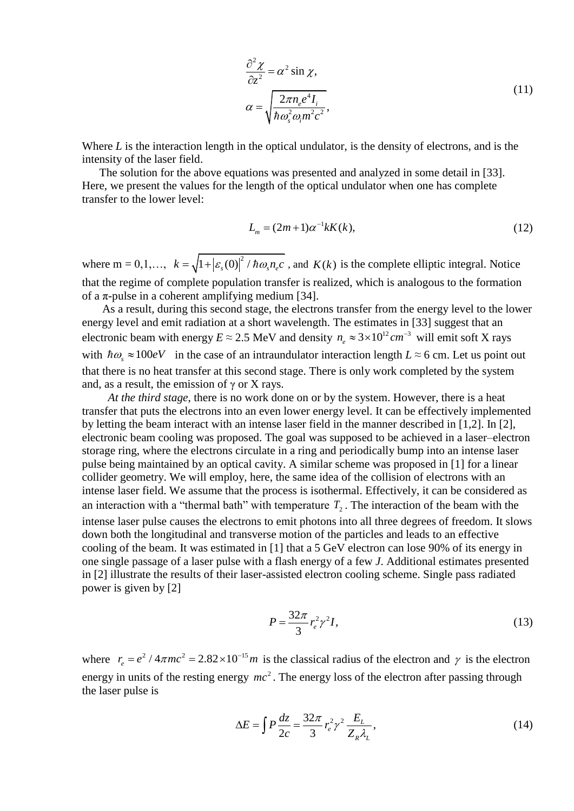$$
\frac{\partial^2 \chi}{\partial z^2} = \alpha^2 \sin \chi,
$$
  
\n
$$
\alpha = \sqrt{\frac{2\pi n_e e^4 I_i}{\hbar \omega_s^2 \omega_i m^2 c^2}},
$$
\n(11)

Where *L* is the interaction length in the optical undulator, is the density of electrons, and is the intensity of the laser field.

 The solution for the above equations was presented and analyzed in some detail in [33]. Here, we present the values for the length of the optical undulator when one has complete transfer to the lower level:

$$
L_m = (2m+1)\alpha^{-1}kK(k),
$$
\n(12)

where  $m = 0, 1, ..., k = \sqrt{1 + |\varepsilon_s(0)|^2 / \hbar \omega_s n_e c}$ , and  $K(k)$  is the complete elliptic integral. Notice that the regime of complete population transfer is realized, which is analogous to the formation of a  $\pi$ -pulse in a coherent amplifying medium [34].

 As a result, during this second stage, the electrons transfer from the energy level to the lower energy level and emit radiation at a short wavelength. The estimates in [33] suggest that an electronic beam with energy  $E \approx 2.5$  MeV and density  $n_e \approx 3 \times 10^{12}$  cm<sup>-3</sup> will emit soft X rays with  $\hbar \omega_s \approx 100 eV$  in the case of an intraundulator interaction length  $L \approx 6$  cm. Let us point out that there is no heat transfer at this second stage. There is only work completed by the system and, as a result, the emission of  $\gamma$  or X rays.

 *At the third stage*, there is no work done on or by the system. However, there is a heat transfer that puts the electrons into an even lower energy level. It can be effectively implemented by letting the beam interact with an intense laser field in the manner described in [1,2]. In [2], electronic beam cooling was proposed. The goal was supposed to be achieved in a laser–electron storage ring, where the electrons circulate in a ring and periodically bump into an intense laser pulse being maintained by an optical cavity. A similar scheme was proposed in [1] for a linear collider geometry. We will employ, here, the same idea of the collision of electrons with an intense laser field. We assume that the process is isothermal. Effectively, it can be considered as an interaction with a "thermal bath" with temperature  $T_2$ . The interaction of the beam with the intense laser pulse causes the electrons to emit photons into all three degrees of freedom. It slows down both the longitudinal and transverse motion of the particles and leads to an effective cooling of the beam. It was estimated in [1] that a 5 GeV electron can lose 90% of its energy in one single passage of a laser pulse with a flash energy of a few *J*. Additional estimates presented in [2] illustrate the results of their laser-assisted electron cooling scheme. Single pass radiated power is given by [2]

$$
P = \frac{32\pi}{3}r_e^2\gamma^2I,\tag{13}
$$

where  $r_e = e^2 / 4\pi m c^2 = 2.82 \times 10^{-15} m$ - $\epsilon = e^2 / 4\pi m c^2 = 2.82 \times 10^{-15} m$  is the classical radius of the electron and  $\gamma$  is the electron energy in units of the resting energy  $mc^2$ . The energy loss of the electron after passing through the laser pulse is

$$
\Delta E = \int P \frac{dz}{2c} = \frac{32\pi}{3} r_e^2 \gamma^2 \frac{E_L}{Z_R \lambda_L},\tag{14}
$$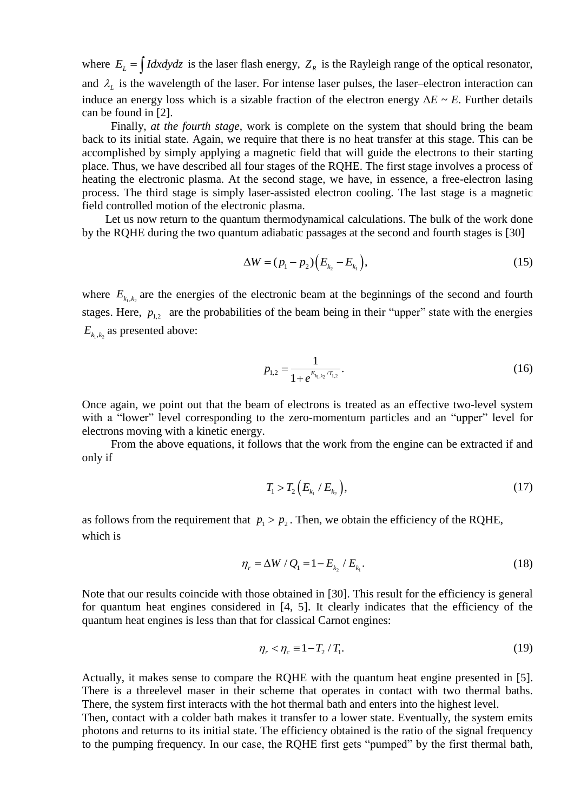where  $E_L = \int I dx dy dz$  is the laser flash energy,  $Z_R$  is the Rayleigh range of the optical resonator, and  $\lambda_L$  is the wavelength of the laser. For intense laser pulses, the laser–electron interaction can induce an energy loss which is a sizable fraction of the electron energy  $\Delta E \sim E$ . Further details can be found in [2].

 Finally, *at the fourth stage*, work is complete on the system that should bring the beam back to its initial state. Again, we require that there is no heat transfer at this stage. This can be accomplished by simply applying a magnetic field that will guide the electrons to their starting place. Thus, we have described all four stages of the RQHE. The first stage involves a process of heating the electronic plasma. At the second stage, we have, in essence, a free-electron lasing process. The third stage is simply laser-assisted electron cooling. The last stage is a magnetic field controlled motion of the electronic plasma.

 Let us now return to the quantum thermodynamical calculations. The bulk of the work done by the RQHE during the two quantum adiabatic passages at the second and fourth stages is [30]

$$
\Delta W = (p_1 - p_2) \Big( E_{k_2} - E_{k_1} \Big), \tag{15}
$$

where  $E_{k_1,k_2}$  are the energies of the electronic beam at the beginnings of the second and fourth stages. Here,  $p_{1,2}$  are the probabilities of the beam being in their "upper" state with the energies  $E_{k_1,k_2}$  as presented above:

$$
p_{1,2} = \frac{1}{1 + e^{E_{k_1, k_2}/T_{1,2}}}.
$$
\n(16)

Once again, we point out that the beam of electrons is treated as an effective two-level system with a "lower" level corresponding to the zero-momentum particles and an "upper" level for electrons moving with a kinetic energy.

 From the above equations, it follows that the work from the engine can be extracted if and only if

$$
T_1 > T_2 \left( E_{k_1} / E_{k_2} \right), \tag{17}
$$

as follows from the requirement that  $p_1 > p_2$ . Then, we obtain the efficiency of the RQHE, which is

$$
\eta_r = \Delta W / Q_1 = 1 - E_{k_2} / E_{k_1}.
$$
\n(18)

Note that our results coincide with those obtained in [30]. This result for the efficiency is general for quantum heat engines considered in [4, 5]. It clearly indicates that the efficiency of the quantum heat engines is less than that for classical Carnot engines:

$$
\eta_r < \eta_c \equiv 1 - T_2 / T_1. \tag{19}
$$

Actually, it makes sense to compare the RQHE with the quantum heat engine presented in [5]. There is a threelevel maser in their scheme that operates in contact with two thermal baths. There, the system first interacts with the hot thermal bath and enters into the highest level.

Then, contact with a colder bath makes it transfer to a lower state. Eventually, the system emits photons and returns to its initial state. The efficiency obtained is the ratio of the signal frequency to the pumping frequency. In our case, the RQHE first gets "pumped" by the first thermal bath,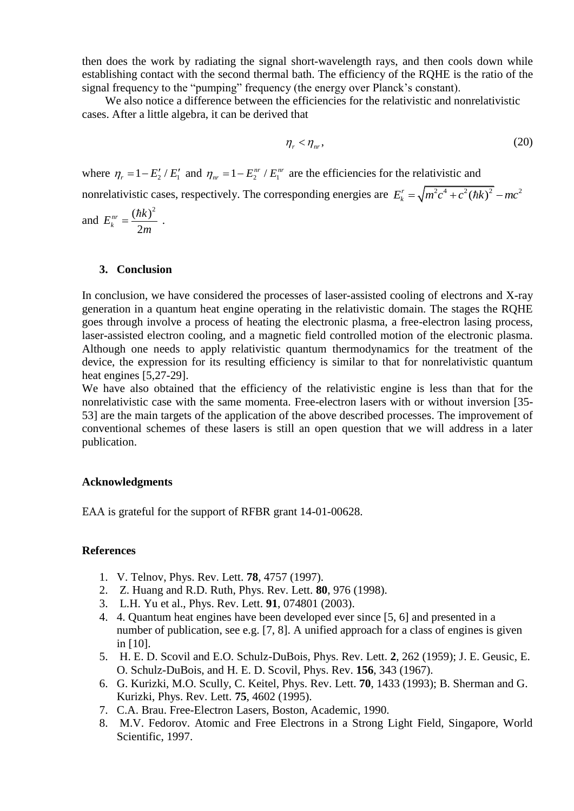then does the work by radiating the signal short-wavelength rays, and then cools down while establishing contact with the second thermal bath. The efficiency of the RQHE is the ratio of the signal frequency to the "pumping" frequency (the energy over Planck's constant).

We also notice a difference between the efficiencies for the relativistic and nonrelativistic cases. After a little algebra, it can be derived that

$$
\eta_r < \eta_w,\tag{20}
$$

where  $\eta_r = 1 - E'_2 / E'_1$  and  $\eta_{nr} = 1 - E_2^{nr} / E_1^{nr}$  are the efficiencies for the relativistic and nonrelativistic cases, respectively. The corresponding energies are  $E_k^r = \sqrt{m^2c^4 + c^2(\hbar k)^2} - mc^2$ 

and  $(\hbar k)^2$ 2 *nr k*  $E_k^{nr} = \frac{(\hbar k)}{2}$ *m*  $=\frac{(\hbar k)^2}{2}$ .

# **3. Conclusion**

In conclusion, we have considered the processes of laser-assisted cooling of electrons and X-ray generation in a quantum heat engine operating in the relativistic domain. The stages the RQHE goes through involve a process of heating the electronic plasma, a free-electron lasing process, laser-assisted electron cooling, and a magnetic field controlled motion of the electronic plasma. Although one needs to apply relativistic quantum thermodynamics for the treatment of the device, the expression for its resulting efficiency is similar to that for nonrelativistic quantum heat engines [5,27-29].

We have also obtained that the efficiency of the relativistic engine is less than that for the nonrelativistic case with the same momenta. Free-electron lasers with or without inversion [35- 53] are the main targets of the application of the above described processes. The improvement of conventional schemes of these lasers is still an open question that we will address in a later publication.

# **Acknowledgments**

EAA is grateful for the support of RFBR grant 14-01-00628.

# **References**

- 1. V. Telnov, Phys. Rev. Lett. **78**, 4757 (1997).
- 2. Z. Huang and R.D. Ruth, Phys. Rev. Lett. **80**, 976 (1998).
- 3. L.H. Yu et al., Phys. Rev. Lett. **91**, 074801 (2003).
- 4. 4. Quantum heat engines have been developed ever since [5, 6] and presented in a number of publication, see e.g. [7, 8]. A unified approach for a class of engines is given in [10].
- 5. H. E. D. Scovil and E.O. Schulz-DuBois, Phys. Rev. Lett. **2**, 262 (1959); J. E. Geusic, E. O. Schulz-DuBois, and H. E. D. Scovil, Phys. Rev. **156**, 343 (1967).
- 6. G. Kurizki, M.O. Scully, C. Keitel, Phys. Rev. Lett. **70**, 1433 (1993); B. Sherman and G. Kurizki, Phys. Rev. Lett. **75**, 4602 (1995).
- 7. C.A. Brau. Free-Electron Lasers, Boston, Academic, 1990.
- 8. M.V. Fedorov. Atomic and Free Electrons in a Strong Light Field, Singapore, World Scientific, 1997.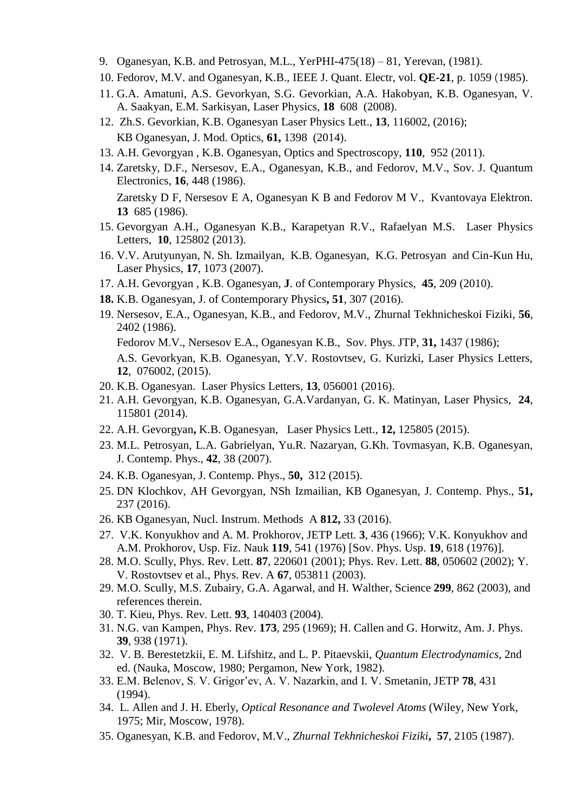- 9. Oganesyan, K.B. and Petrosyan, M.L., YerPHI-475(18) 81, Yerevan, (1981).
- 10. Fedorov, M.V. and Oganesyan, K.B., IEEE J. Quant. Electr, vol. **QE-21**, p. 1059 (1985).
- 11. G.A. Amatuni, A.S. Gevorkyan, S.G. Gevorkian, A.A. Hakobyan, K.B. Oganesyan, V. A. Saakyan, E.M. Sarkisyan, Laser Physics, **18** 608 (2008).
- 12. Zh.S. Gevorkian, K.B. Oganesyan Laser Physics Lett., **13**, 116002, (2016); KB Oganesyan, J. Mod. Optics, **61,** 1398 (2014).
- 13. A.H. Gevorgyan , K.B. Oganesyan, Optics and Spectroscopy, **110**, 952 (2011).
- 14. Zaretsky, D.F., Nersesov, E.A., Oganesyan, K.B., and Fedorov, M.V., Sov. J. Quantum Electronics, **16**, 448 (1986). Zaretsky D F, Nersesov E A, Oganesyan K B and Fedorov M V., Kvantovaya Elektron. **13** 685 (1986).
- 15. Gevorgyan A.H., Oganesyan K.B., Karapetyan R.V., Rafaelyan M.S. Laser Physics Letters, **10**, 125802 (2013).
- 16. V.V. Arutyunyan, N. Sh. Izmailyan, K.B. Oganesyan, K.G. Petrosyan and Cin-Kun Hu, Laser Physics, **17**, 1073 (2007).
- 17. A.H. Gevorgyan , K.B. Oganesyan, **J**. of Contemporary Physics, **45**, 209 (2010).
- **18.** K.B. Oganesyan, J. of Contemporary Physics**, 51**, 307 (2016).
- 19. Nersesov, E.A., Oganesyan, K.B., and Fedorov, M.V., Zhurnal Tekhnicheskoi Fiziki, **56**, 2402 (1986). Fedorov M.V., Nersesov E.A., Oganesyan K.B., Sov. Phys. JTP, **31,** 1437 (1986); A.S. Gevorkyan, K.B. Oganesyan, Y.V. Rostovtsev, G. Kurizki, Laser Physics Letters, **12**, 076002, (2015).
- 20. K.B. Oganesyan. Laser Physics Letters, **13**, 056001 (2016).
- 21. A.H. Gevorgyan, K.B. Oganesyan, G.A.Vardanyan, G. K. Matinyan, Laser Physics, **24**, 115801 (2014).
- 22. A.H. Gevorgyan**,** K.B. Oganesyan, Laser Physics Lett., **12,** 125805 (2015).
- 23. M.L. Petrosyan, L.A. Gabrielyan, Yu.R. Nazaryan, G.Kh. Tovmasyan, K.B. Oganesyan, J. Contemp. Phys., **42**, 38 (2007).
- 24. K.B. Oganesyan, J. Contemp. Phys., **50,** 312 (2015).
- 25. DN Klochkov, AH Gevorgyan, NSh Izmailian, KB Oganesyan, J. Contemp. Phys., **51,** 237 (2016).
- 26. KB Oganesyan, Nucl. Instrum. Methods A **812,** 33 (2016).
- 27. V.K. Konyukhov and A. M. Prokhorov, JETP Lett. **3**, 436 (1966); V.K. Konyukhov and A.M. Prokhorov, Usp. Fiz. Nauk **119**, 541 (1976) [Sov. Phys. Usp. **19**, 618 (1976)].
- 28. M.O. Scully, Phys. Rev. Lett. **87**, 220601 (2001); Phys. Rev. Lett. **88**, 050602 (2002); Y. V. Rostovtsev et al., Phys. Rev. A **67**, 053811 (2003).
- 29. M.O. Scully, M.S. Zubairy, G.A. Agarwal, and H. Walther, Science **299**, 862 (2003), and references therein.
- 30. T. Kieu, Phys. Rev. Lett. **93**, 140403 (2004).
- 31. N.G. van Kampen, Phys. Rev. **173**, 295 (1969); H. Callen and G. Horwitz, Am. J. Phys. **39**, 938 (1971).
- 32. V. B. Berestetzkii, E. M. Lifshitz, and L. P. Pitaevskii, *Quantum Electrodynamics*, 2nd ed. (Nauka, Moscow, 1980; Pergamon, New York, 1982).
- 33. E.M. Belenov, S. V. Grigor'ev, A. V. Nazarkin, and I. V. Smetanin, JETP **78**, 431 (1994).
- 34. L. Allen and J. H. Eberly, *Optical Resonance and Twolevel Atoms* (Wiley, New York, 1975; Mir, Moscow, 1978).
- 35. Oganesyan, K.B. and Fedorov, M.V., *Zhurnal Tekhnicheskoi Fiziki***, 57**, 2105 (1987).